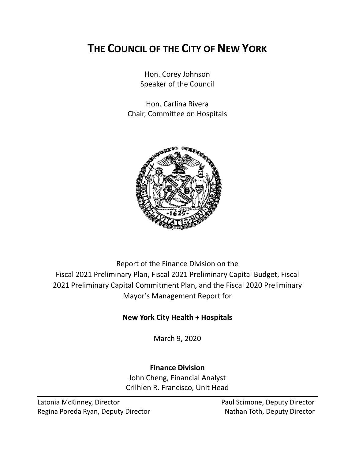# **THE COUNCIL OF THE CITY OF NEW YORK**

Hon. Corey Johnson Speaker of the Council

Hon. Carlina Rivera Chair, Committee on Hospitals



Report of the Finance Division on the Fiscal 2021 Preliminary Plan, Fiscal 2021 Preliminary Capital Budget, Fiscal 2021 Preliminary Capital Commitment Plan, and the Fiscal 2020 Preliminary Mayor's Management Report for

# **New York City Health + Hospitals**

March 9, 2020

# **Finance Division**

John Cheng, Financial Analyst Crilhien R. Francisco, Unit Head

Latonia McKinney, Director **Paul Scimone, Deputy Director** Paul Scimone, Deputy Director Regina Poreda Ryan, Deputy Director Nathan Toth, Deputy Director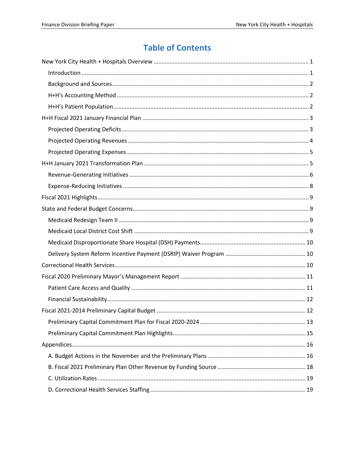# **Table of Contents**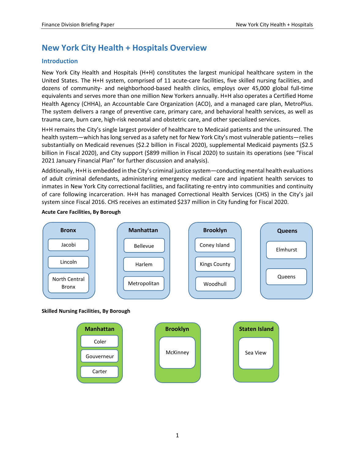# <span id="page-2-0"></span>**New York City Health + Hospitals Overview**

# <span id="page-2-1"></span>**Introduction**

New York City Health and Hospitals (H+H) constitutes the largest municipal healthcare system in the United States. The H+H system, comprised of 11 acute-care facilities, five skilled nursing facilities, and dozens of community- and neighborhood-based health clinics, employs over 45,000 global full-time equivalents and serves more than one million New Yorkers annually. H+H also operates a Certified Home Health Agency (CHHA), an Accountable Care Organization (ACO), and a managed care plan, MetroPlus. The system delivers a range of preventive care, primary care, and behavioral health services, as well as trauma care, burn care, high-risk neonatal and obstetric care, and other specialized services.

H+H remains the City's single largest provider of healthcare to Medicaid patients and the uninsured. The health system—which has long served as a safety net for New York City's most vulnerable patients—relies substantially on Medicaid revenues (\$2.2 billion in Fiscal 2020), supplemental Medicaid payments (\$2.5 billion in Fiscal 2020), and City support (\$899 million in Fiscal 2020) to sustain its operations (see "Fiscal 2021 January Financial Plan" for further discussion and analysis).

Additionally, H+H is embedded in the City's criminal justice system—conducting mental health evaluations of adult criminal defendants, administering emergency medical care and inpatient health services to inmates in New York City correctional facilities, and facilitating re-entry into communities and continuity of care following incarceration. H+H has managed Correctional Health Services (CHS) in the City's jail system since Fiscal 2016. CHS receives an estimated \$237 million in City funding for Fiscal 2020.



#### **Acute Care Facilities, By Borough**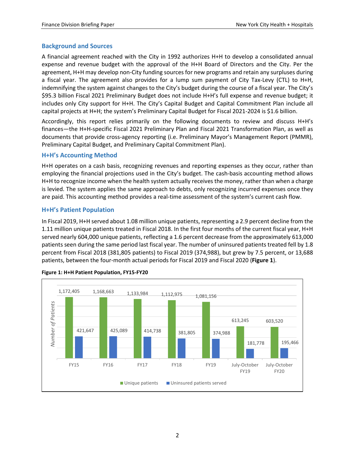## <span id="page-3-0"></span>**Background and Sources**

A financial agreement reached with the City in 1992 authorizes H+H to develop a consolidated annual expense and revenue budget with the approval of the H+H Board of Directors and the City. Per the agreement, H+H may develop non-City funding sources for new programs and retain any surpluses during a fiscal year. The agreement also provides for a lump sum payment of City Tax-Levy (CTL) to H+H, indemnifying the system against changes to the City's budget during the course of a fiscal year. The City's \$95.3 billion Fiscal 2021 Preliminary Budget does not include H+H's full expense and revenue budget; it includes only City support for H+H. The City's Capital Budget and Capital Commitment Plan include all capital projects at H+H; the system's Preliminary Capital Budget for Fiscal 2021-2024 is \$1.6 billion.

Accordingly, this report relies primarily on the following documents to review and discuss H+H's finances—the H+H-specific Fiscal 2021 Preliminary Plan and Fiscal 2021 Transformation Plan, as well as documents that provide cross-agency reporting (i.e. Preliminary Mayor's Management Report (PMMR), Preliminary Capital Budget, and Preliminary Capital Commitment Plan).

# <span id="page-3-1"></span>**H+H's Accounting Method**

H+H operates on a cash basis, recognizing revenues and reporting expenses as they occur, rather than employing the financial projections used in the City's budget. The cash-basis accounting method allows H+H to recognize income when the health system actually receives the money, rather than when a charge is levied. The system applies the same approach to debts, only recognizing incurred expenses once they are paid. This accounting method provides a real-time assessment of the system's current cash flow.

## <span id="page-3-2"></span>**H+H's Patient Population**

In Fiscal 2019, H+H served about 1.08 million unique patients, representing a 2.9 percent decline from the 1.11 million unique patients treated in Fiscal 2018. In the first four months of the current fiscal year, H+H served nearly 604,000 unique patients, reflecting a 1.6 percent decrease from the approximately 613,000 patients seen during the same period last fiscal year. The number of uninsured patients treated fell by 1.8 percent from Fiscal 2018 (381,805 patients) to Fiscal 2019 (374,988), but grew by 7.5 percent, or 13,688 patients, between the four-month actual periods for Fiscal 2019 and Fiscal 2020 (**Figure 1**).



#### **Figure 1: H+H Patient Population, FY15-FY20**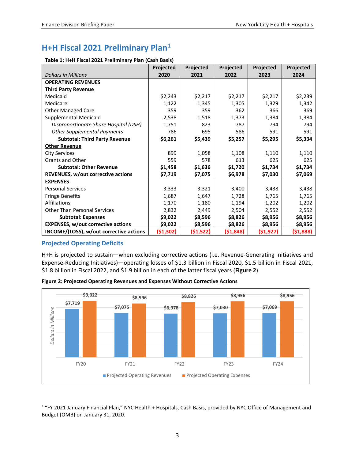# <span id="page-4-0"></span>**H+H Fiscal 2021 Preliminary Plan**[1](#page-4-2)

| Table 1: H+H Fiscal 2021 Preliminary Plan (Cash Basis) |  |  |  |
|--------------------------------------------------------|--|--|--|
|--------------------------------------------------------|--|--|--|

|                                           | Projected | Projected | Projected | <b>Projected</b> | Projected |
|-------------------------------------------|-----------|-----------|-----------|------------------|-----------|
| <b>Dollars in Millions</b>                | 2020      | 2021      | 2022      | 2023             | 2024      |
| <b>OPERATING REVENUES</b>                 |           |           |           |                  |           |
| <b>Third Party Revenue</b>                |           |           |           |                  |           |
| Medicaid                                  | \$2,243   | \$2,217   | \$2,217   | \$2,217          | \$2,239   |
| Medicare                                  | 1,122     | 1,345     | 1,305     | 1,329            | 1,342     |
| <b>Other Managed Care</b>                 | 359       | 359       | 362       | 366              | 369       |
| Supplemental Medicaid                     | 2,538     | 1,518     | 1,373     | 1,384            | 1,384     |
| Disproportionate Share Hospital (DSH)     | 1,751     | 823       | 787       | 794              | 794       |
| <b>Other Supplemental Payments</b>        | 786       | 695       | 586       | 591              | 591       |
| <b>Subtotal: Third Party Revenue</b>      | \$6,261   | \$5,439   | \$5,257   | \$5,295          | \$5,334   |
| <b>Other Revenue</b>                      |           |           |           |                  |           |
| City Services                             | 899       | 1,058     | 1,108     | 1,110            | 1,110     |
| <b>Grants and Other</b>                   | 559       | 578       | 613       | 625              | 625       |
| <b>Subtotal: Other Revenue</b>            | \$1,458   | \$1,636   | \$1,720   | \$1,734          | \$1,734   |
| <b>REVENUES, w/out corrective actions</b> | \$7,719   | \$7,075   | \$6,978   | \$7,030          | \$7,069   |
| <b>EXPENSES</b>                           |           |           |           |                  |           |
| <b>Personal Services</b>                  | 3,333     | 3,321     | 3,400     | 3,438            | 3,438     |
| <b>Fringe Benefits</b>                    | 1,687     | 1,647     | 1,728     | 1,765            | 1,765     |
| Affiliations                              | 1,170     | 1,180     | 1,194     | 1,202            | 1,202     |
| <b>Other Than Personal Services</b>       | 2,832     | 2,449     | 2,504     | 2,552            | 2,552     |
| <b>Subtotal: Expenses</b>                 | \$9,022   | \$8,596   | \$8,826   | \$8,956          | \$8,956   |
| <b>EXPENSES, w/out corrective actions</b> | \$9,022   | \$8,596   | \$8,826   | \$8,956          | \$8,956   |
| INCOME/(LOSS), w/out corrective actions   | (\$1,302) | (\$1,522) | (51,848)  | ( \$1,927)       | (\$1,888) |

## <span id="page-4-1"></span>**Projected Operating Deficits**

H+H is projected to sustain—when excluding corrective actions (i.e. Revenue-Generating Initiatives and Expense-Reducing Initiatives)—operating losses of \$1.3 billion in Fiscal 2020, \$1.5 billion in Fiscal 2021, \$1.8 billion in Fiscal 2022, and \$1.9 billion in each of the latter fiscal years (**Figure 2**).

**Figure 2: Projected Operating Revenues and Expenses Without Corrective Actions**



<span id="page-4-2"></span> <sup>1</sup> "FY 2021 January Financial Plan," NYC Health + Hospitals, Cash Basis, provided by NYC Office of Management and Budget (OMB) on January 31, 2020.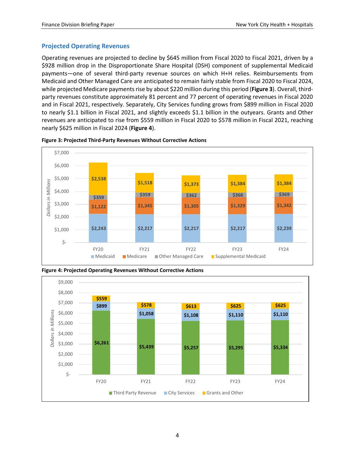### <span id="page-5-0"></span>**Projected Operating Revenues**

Operating revenues are projected to decline by \$645 million from Fiscal 2020 to Fiscal 2021, driven by a \$928 million drop in the Disproportionate Share Hospital (DSH) component of supplemental Medicaid payments—one of several third-party revenue sources on which H+H relies. Reimbursements from Medicaid and Other Managed Care are anticipated to remain fairly stable from Fiscal 2020 to Fiscal 2024, while projected Medicare payments rise by about \$220 million during this period (**Figure 3**). Overall, thirdparty revenues constitute approximately 81 percent and 77 percent of operating revenues in Fiscal 2020 and in Fiscal 2021, respectively. Separately, City Services funding grows from \$899 million in Fiscal 2020 to nearly \$1.1 billion in Fiscal 2021, and slightly exceeds \$1.1 billion in the outyears. Grants and Other revenues are anticipated to rise from \$559 million in Fiscal 2020 to \$578 million in Fiscal 2021, reaching nearly \$625 million in Fiscal 2024 (**Figure 4**).



**Figure 3: Projected Third-Party Revenues Without Corrective Actions**



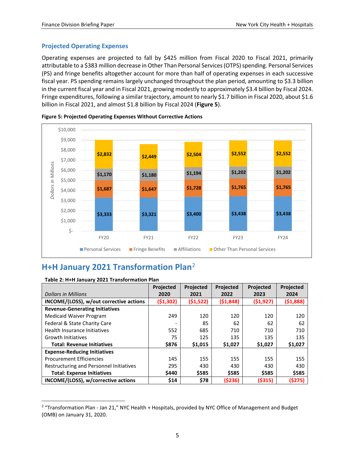### <span id="page-6-0"></span>**Projected Operating Expenses**

Operating expenses are projected to fall by \$425 million from Fiscal 2020 to Fiscal 2021, primarily attributable to a \$383 million decrease in Other Than Personal Services (OTPS) spending. Personal Services (PS) and fringe benefits altogether account for more than half of operating expenses in each successive fiscal year. PS spending remains largely unchanged throughout the plan period, amounting to \$3.3 billion in the current fiscal year and in Fiscal 2021, growing modestly to approximately \$3.4 billion by Fiscal 2024. Fringe expenditures, following a similar trajectory, amount to nearly \$1.7 billion in Fiscal 2020, about \$1.6 billion in Fiscal 2021, and almost \$1.8 billion by Fiscal 2024 (**Figure 5**).





# <span id="page-6-1"></span>**H+H January 2021 Transformation Plan**[2](#page-6-2)

|                                         | <b>Projected</b> | <b>Projected</b> | Projected | <b>Projected</b> | <b>Projected</b> |
|-----------------------------------------|------------------|------------------|-----------|------------------|------------------|
| <b>Dollars in Millions</b>              | 2020             | 2021             | 2022      | 2023             | 2024             |
| INCOME/(LOSS), w/out corrective actions | (51, 302)        | (51,522)         | (51,848)  | ( \$1, 927)      | (51,888)         |
| <b>Revenue-Generating Initiatives</b>   |                  |                  |           |                  |                  |
| <b>Medicaid Waiver Program</b>          | 249              | 120              | 120       | 120              | 120              |
| Federal & State Charity Care            |                  | 85               | 62        | 62               | 62               |
| Health Insurance Initiatives            | 552              | 685              | 710       | 710              | 710              |
| <b>Growth Initiatives</b>               | 75               | 125              | 135       | 135              | 135              |
| <b>Total: Revenue Initiatives</b>       | \$876            | \$1,015          | \$1,027   | \$1,027          | \$1,027          |
| <b>Expense-Reducing Initiatives</b>     |                  |                  |           |                  |                  |
| <b>Procurement Efficiencies</b>         | 145              | 155              | 155       | 155              | 155              |
| Restructuring and Personnel Initiatives | 295              | 430              | 430       | 430              | 430              |
| <b>Total: Expense Initiatives</b>       | \$440            | \$585            | \$585     | \$585            | \$585            |
| INCOME/(LOSS), w/corrective actions     | \$14             | \$78             | (\$236)   | (\$315)          | (\$275)          |

#### **Table 2: H+H January 2021 Transformation Plan**

<span id="page-6-2"></span><sup>&</sup>lt;sup>2</sup> "Transformation Plan - Jan 21," NYC Health + Hospitals, provided by NYC Office of Management and Budget (OMB) on January 31, 2020.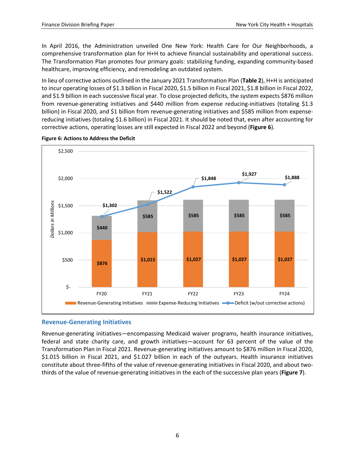In April 2016, the Administration unveiled One New York: Health Care for Our Neighborhoods, a comprehensive transformation plan for H+H to achieve financial sustainability and operational success. The Transformation Plan promotes four primary goals: stabilizing funding, expanding community-based healthcare, improving efficiency, and remodeling an outdated system.

In lieu of corrective actions outlined in the January 2021 Transformation Plan (**Table 2**), H+H is anticipated to incur operating losses of \$1.3 billion in Fiscal 2020, \$1.5 billion in Fiscal 2021, \$1.8 billion in Fiscal 2022, and \$1.9 billion in each successive fiscal year. To close projected deficits, the system expects \$876 million from revenue-generating initiatives and \$440 million from expense reducing-initiatives (totaling \$1.3 billion) in Fiscal 2020, and \$1 billion from revenue-generating initiatives and \$585 million from expensereducing initiatives (totaling \$1.6 billion) in Fiscal 2021. It should be noted that, even after accounting for corrective actions, operating losses are still expected in Fiscal 2022 and beyond (**Figure 6**).



**Figure 6: Actions to Address the Deficit**

## <span id="page-7-0"></span>**Revenue-Generating Initiatives**

Revenue-generating initiatives—encompassing Medicaid waiver programs, health insurance initiatives, federal and state charity care, and growth initiatives—account for 63 percent of the value of the Transformation Plan in Fiscal 2021. Revenue-generating initiatives amount to \$876 million in Fiscal 2020, \$1.015 billion in Fiscal 2021, and \$1.027 billion in each of the outyears. Health insurance initiatives constitute about three-fifths of the value of revenue-generating initiatives in Fiscal 2020, and about twothirds of the value of revenue-generating initiatives in the each of the successive plan years (**Figure 7**).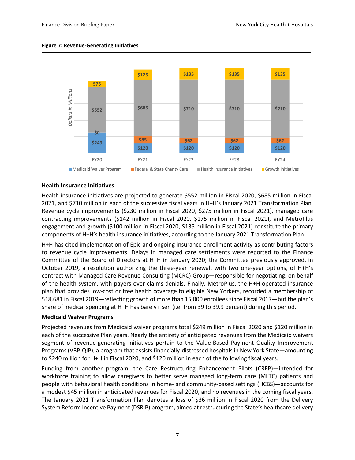

#### **Figure 7: Revenue-Generating Initiatives**

#### **Health Insurance Initiatives**

Health insurance initiatives are projected to generate \$552 million in Fiscal 2020, \$685 million in Fiscal 2021, and \$710 million in each of the successive fiscal years in H+H's January 2021 Transformation Plan. Revenue cycle improvements (\$230 million in Fiscal 2020, \$275 million in Fiscal 2021), managed care contracting improvements (\$142 million in Fiscal 2020, \$175 million in Fiscal 2021), and MetroPlus engagement and growth (\$100 million in Fiscal 2020, \$135 million in Fiscal 2021) constitute the primary components of H+H's health insurance initiatives, according to the January 2021 Transformation Plan.

H+H has cited implementation of Epic and ongoing insurance enrollment activity as contributing factors to revenue cycle improvements. Delays in managed care settlements were reported to the Finance Committee of the Board of Directors at H+H in January 2020; the Committee previously approved, in October 2019, a resolution authorizing the three-year renewal, with two one-year options, of H+H's contract with Managed Care Revenue Consulting (MCRC) Group—responsible for negotiating, on behalf of the health system, with payers over claims denials. Finally, MetroPlus, the H+H-operated insurance plan that provides low-cost or free health coverage to eligible New Yorkers, recorded a membership of 518,681 in Fiscal 2019—reflecting growth of more than 15,000 enrollees since Fiscal 2017—but the plan's share of medical spending at H+H has barely risen (i.e. from 39 to 39.9 percent) during this period.

#### **Medicaid Waiver Programs**

Projected revenues from Medicaid waiver programs total \$249 million in Fiscal 2020 and \$120 million in each of the successive Plan years. Nearly the entirety of anticipated revenues from the Medicaid waivers segment of revenue-generating initiatives pertain to the Value-Based Payment Quality Improvement Programs (VBP-QIP), a program that assists financially-distressed hospitals in New York State—amounting to \$240 million for H+H in Fiscal 2020, and \$120 million in each of the following fiscal years.

Funding from another program, the Care Restructuring Enhancement Pilots (CREP)—intended for workforce training to allow caregivers to better serve managed long-term care (MLTC) patients and people with behavioral health conditions in home- and community-based settings (HCBS)—accounts for a modest \$45 million in anticipated revenues for Fiscal 2020, and no revenues in the coming fiscal years. The January 2021 Transformation Plan denotes a loss of \$36 million in Fiscal 2020 from the Delivery System Reform Incentive Payment (DSRIP) program, aimed at restructuring the State's healthcare delivery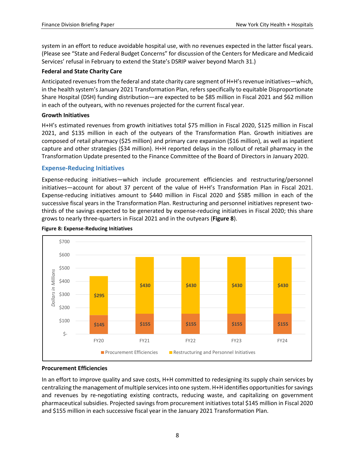system in an effort to reduce avoidable hospital use, with no revenues expected in the latter fiscal years. (Please see "State and Federal Budget Concerns" for discussion of the Centers for Medicare and Medicaid Services' refusal in February to extend the State's DSRIP waiver beyond March 31.)

### **Federal and State Charity Care**

Anticipated revenues from the federal and state charity care segment of H+H's revenue initiatives—which, in the health system's January 2021 Transformation Plan, refers specifically to equitable Disproportionate Share Hospital (DSH) funding distribution—are expected to be \$85 million in Fiscal 2021 and \$62 million in each of the outyears, with no revenues projected for the current fiscal year.

### **Growth Initiatives**

H+H's estimated revenues from growth initiatives total \$75 million in Fiscal 2020, \$125 million in Fiscal 2021, and \$135 million in each of the outyears of the Transformation Plan. Growth initiatives are composed of retail pharmacy (\$25 million) and primary care expansion (\$16 million), as well as inpatient capture and other strategies (\$34 million). H+H reported delays in the rollout of retail pharmacy in the Transformation Update presented to the Finance Committee of the Board of Directors in January 2020.

## <span id="page-9-0"></span>**Expense-Reducing Initiatives**

Expense-reducing initiatives—which include procurement efficiencies and restructuring/personnel initiatives—account for about 37 percent of the value of H+H's Transformation Plan in Fiscal 2021. Expense-reducing initiatives amount to \$440 million in Fiscal 2020 and \$585 million in each of the successive fiscal years in the Transformation Plan. Restructuring and personnel initiatives represent twothirds of the savings expected to be generated by expense-reducing initiatives in Fiscal 2020; this share grows to nearly three-quarters in Fiscal 2021 and in the outyears (**Figure 8**).



#### **Figure 8: Expense-Reducing Initiatives**

#### **Procurement Efficiencies**

In an effort to improve quality and save costs, H+H committed to redesigning its supply chain services by centralizing the management of multiple services into one system. H+H identifies opportunities for savings and revenues by re-negotiating existing contracts, reducing waste, and capitalizing on government pharmaceutical subsidies. Projected savings from procurement initiatives total \$145 million in Fiscal 2020 and \$155 million in each successive fiscal year in the January 2021 Transformation Plan.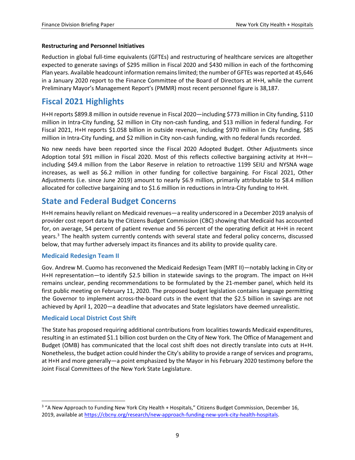#### **Restructuring and Personnel Initiatives**

Reduction in global full-time equivalents (GFTEs) and restructuring of healthcare services are altogether expected to generate savings of \$295 million in Fiscal 2020 and \$430 million in each of the forthcoming Plan years. Available headcount information remains limited; the number of GFTEs was reported at 45,646 in a January 2020 report to the Finance Committee of the Board of Directors at H+H, while the current Preliminary Mayor's Management Report's (PMMR) most recent personnel figure is 38,187.

# <span id="page-10-0"></span>**Fiscal 2021 Highlights**

H+H reports \$899.8 million in outside revenue in Fiscal 2020—including \$773 million in City funding, \$110 million in Intra-City funding, \$2 million in City non-cash funding, and \$13 million in federal funding. For Fiscal 2021, H+H reports \$1.058 billion in outside revenue, including \$970 million in City funding, \$85 million in Intra-City funding, and \$2 million in City non-cash funding, with no federal funds recorded.

No new needs have been reported since the Fiscal 2020 Adopted Budget. Other Adjustments since Adoption total \$91 million in Fiscal 2020. Most of this reflects collective bargaining activity at H+H including \$49.4 million from the Labor Reserve in relation to retroactive 1199 SEIU and NYSNA wage increases, as well as \$6.2 million in other funding for collective bargaining. For Fiscal 2021, Other Adjustments (i.e. since June 2019) amount to nearly \$6.9 million, primarily attributable to \$8.4 million allocated for collective bargaining and to \$1.6 million in reductions in Intra-City funding to H+H.

# <span id="page-10-1"></span>**State and Federal Budget Concerns**

H+H remains heavily reliant on Medicaid revenues—a reality underscored in a December 2019 analysis of provider cost report data by the Citizens Budget Commission (CBC) showing that Medicaid has accounted for, on average, 54 percent of patient revenue and 56 percent of the operating deficit at H+H in recent years.<sup>[3](#page-10-4)</sup> The health system currently contends with several state and federal policy concerns, discussed below, that may further adversely impact its finances and its ability to provide quality care.

#### <span id="page-10-2"></span>**Medicaid Redesign Team II**

Gov. Andrew M. Cuomo has reconvened the Medicaid Redesign Team (MRT II)—notably lacking in City or H+H representation—to identify \$2.5 billion in statewide savings to the program. The impact on H+H remains unclear, pending recommendations to be formulated by the 21-member panel, which held its first public meeting on February 11, 2020. The proposed budget legislation contains language permitting the Governor to implement across-the-board cuts in the event that the \$2.5 billion in savings are not achieved by April 1, 2020—a deadline that advocates and State legislators have deemed unrealistic.

## <span id="page-10-3"></span>**Medicaid Local District Cost Shift**

The State has proposed requiring additional contributions from localities towards Medicaid expenditures, resulting in an estimated \$1.1 billion cost burden on the City of New York. The Office of Management and Budget (OMB) has communicated that the local cost shift does not directly translate into cuts at H+H. Nonetheless, the budget action could hinder the City's ability to provide a range of services and programs, at H+H and more generally—a point emphasized by the Mayor in his February 2020 testimony before the Joint Fiscal Committees of the New York State Legislature.

<span id="page-10-4"></span><sup>&</sup>lt;sup>3</sup> "A New Approach to Funding New York City Health + Hospitals," Citizens Budget Commission, December 16, 2019, available a[t https://cbcny.org/research/new-approach-funding-new-york-city-health-hospitals.](https://cbcny.org/research/new-approach-funding-new-york-city-health-hospitals)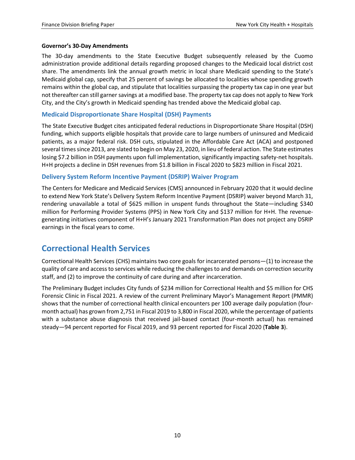#### **Governor's 30-Day Amendments**

The 30-day amendments to the State Executive Budget subsequently released by the Cuomo administration provide additional details regarding proposed changes to the Medicaid local district cost share. The amendments link the annual growth metric in local share Medicaid spending to the State's Medicaid global cap, specify that 25 percent of savings be allocated to localities whose spending growth remains within the global cap, and stipulate that localities surpassing the property tax cap in one year but not thereafter can still garner savings at a modified base. The property tax cap does not apply to New York City, and the City's growth in Medicaid spending has trended above the Medicaid global cap.

### <span id="page-11-0"></span>**Medicaid Disproportionate Share Hospital (DSH) Payments**

The State Executive Budget cites anticipated federal reductions in Disproportionate Share Hospital (DSH) funding, which supports eligible hospitals that provide care to large numbers of uninsured and Medicaid patients, as a major federal risk. DSH cuts, stipulated in the Affordable Care Act (ACA) and postponed several times since 2013, are slated to begin on May 23, 2020, in lieu of federal action. The State estimates losing \$7.2 billion in DSH payments upon full implementation, significantly impacting safety-net hospitals. H+H projects a decline in DSH revenues from \$1.8 billion in Fiscal 2020 to \$823 million in Fiscal 2021.

### <span id="page-11-1"></span>**Delivery System Reform Incentive Payment (DSRIP) Waiver Program**

The Centers for Medicare and Medicaid Services (CMS) announced in February 2020 that it would decline to extend New York State's Delivery System Reform Incentive Payment (DSRIP) waiver beyond March 31, rendering unavailable a total of \$625 million in unspent funds throughout the State—including \$340 million for Performing Provider Systems (PPS) in New York City and \$137 million for H+H. The revenuegenerating initiatives component of H+H's January 2021 Transformation Plan does not project any DSRIP earnings in the fiscal years to come.

# <span id="page-11-2"></span>**Correctional Health Services**

Correctional Health Services (CHS) maintains two core goals for incarcerated persons—(1) to increase the quality of care and access to services while reducing the challenges to and demands on correction security staff, and (2) to improve the continuity of care during and after incarceration.

The Preliminary Budget includes City funds of \$234 million for Correctional Health and \$5 million for CHS Forensic Clinic in Fiscal 2021. A review of the current Preliminary Mayor's Management Report (PMMR) shows that the number of correctional health clinical encounters per 100 average daily population (fourmonth actual) has grown from 2,751 in Fiscal 2019 to 3,800 in Fiscal 2020, while the percentage of patients with a substance abuse diagnosis that received jail-based contact (four-month actual) has remained steady—94 percent reported for Fiscal 2019, and 93 percent reported for Fiscal 2020 (**Table 3**).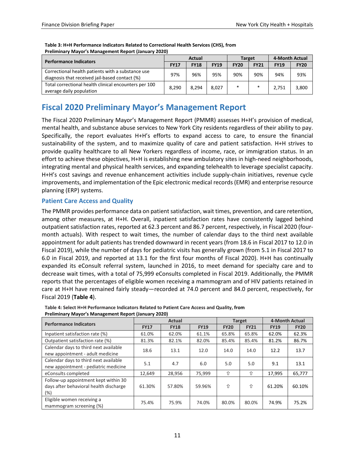| <b>Performance Indicators</b>                                                                       |             | <b>Actual</b> |             | <b>Target</b> |             | 4-Month Actual |             |
|-----------------------------------------------------------------------------------------------------|-------------|---------------|-------------|---------------|-------------|----------------|-------------|
|                                                                                                     | <b>FY17</b> | <b>FY18</b>   | <b>FY19</b> | <b>FY20</b>   | <b>FY21</b> | <b>FY19</b>    | <b>FY20</b> |
| Correctional health patients with a substance use<br>diagnosis that received jail-based contact (%) | 97%         | 96%           | 95%         | 90%           | 90%         | 94%            | 93%         |
| Total correctional health clinical encounters per 100<br>average daily population                   | 8.290       | 8.294         | 8.027       | $\ast$        | $\ast$      | 2,751          | 3,800       |

**Table 3: H+H Performance Indicators Related to Correctional Health Services (CHS), from Preliminary Mayor's Management Report (January 2020)**

# <span id="page-12-0"></span>**Fiscal 2020 Preliminary Mayor's Management Report**

The Fiscal 2020 Preliminary Mayor's Management Report (PMMR) assesses H+H's provision of medical, mental health, and substance abuse services to New York City residents regardless of their ability to pay. Specifically, the report evaluates H+H's efforts to expand access to care, to ensure the financial sustainability of the system, and to maximize quality of care and patient satisfaction. H+H strives to provide quality healthcare to all New Yorkers regardless of income, race, or immigration status. In an effort to achieve these objectives, H+H is establishing new ambulatory sites in high-need neighborhoods, integrating mental and physical health services, and expanding telehealth to leverage specialist capacity. H+H's cost savings and revenue enhancement activities include supply-chain initiatives, revenue cycle improvements, and implementation of the Epic electronic medical records (EMR) and enterprise resource planning (ERP) systems.

## <span id="page-12-1"></span>**Patient Care Access and Quality**

The PMMR provides performance data on patient satisfaction, wait times, prevention, and care retention, among other measures, at H+H. Overall, inpatient satisfaction rates have consistently lagged behind outpatient satisfaction rates, reported at 62.3 percent and 86.7 percent, respectively, in Fiscal 2020 (fourmonth actuals). With respect to wait times, the number of calendar days to the third next available appointment for adult patients has trended downward in recent years (from 18.6 in Fiscal 2017 to 12.0 in Fiscal 2019), while the number of days for pediatric visits has generally grown (from 5.1 in Fiscal 2017 to 6.0 in Fiscal 2019, and reported at 13.1 for the first four months of Fiscal 2020). H+H has continually expanded its eConsult referral system, launched in 2016, to meet demand for specialty care and to decrease wait times, with a total of 75,999 eConsults completed in Fiscal 2019. Additionally, the PMMR reports that the percentages of eligible women receiving a mammogram and of HIV patients retained in care at H+H have remained fairly steady—recorded at 74.0 percent and 84.0 percent, respectively, for Fiscal 2019 (**Table 4**).

| <b>Performance Indicators</b>                                                             |             | <b>Actual</b> |             |             | <b>Target</b> | 4-Month Actual |             |
|-------------------------------------------------------------------------------------------|-------------|---------------|-------------|-------------|---------------|----------------|-------------|
|                                                                                           | <b>FY17</b> | <b>FY18</b>   | <b>FY19</b> | <b>FY20</b> | <b>FY21</b>   | <b>FY19</b>    | <b>FY20</b> |
| Inpatient satisfaction rate (%)                                                           | 61.0%       | 62.0%         | 61.1%       | 65.8%       | 65.8%         | 62.0%          | 62.3%       |
| Outpatient satisfaction rate (%)                                                          | 81.3%       | 82.1%         | 82.0%       | 85.4%       | 85.4%         | 81.2%          | 86.7%       |
| Calendar days to third next available<br>new appointment - adult medicine                 | 18.6        | 13.1          | 12.0        | 14.0        | 14.0          | 12.2           | 13.7        |
| Calendar days to third next available<br>new appointment - pediatric medicine             | 5.1         | 4.7           | 6.0         | 5.0         | 5.0           | 9.1            | 13.1        |
| eConsults completed                                                                       | 12,649      | 28,956        | 75,999      | ⇧           | ⇧             | 17,995         | 65,777      |
| Follow-up appointment kept within 30<br>days after behavioral health discharge<br>$(\% )$ | 61.30%      | 57.80%        | 59.96%      | ⇧           | ⇧             | 61.20%         | 60.10%      |
| Eligible women receiving a<br>mammogram screening (%)                                     | 75.4%       | 75.9%         | 74.0%       | 80.0%       | 80.0%         | 74.9%          | 75.2%       |

**Table 4: Select H+H Performance Indicators Related to Patient Care Access and Quality, from Preliminary Mayor's Management Report (January 2020)**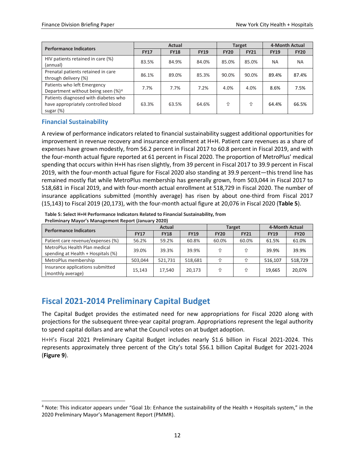| <b>Performance Indicators</b>                  |             | <b>Actual</b> |             |             | <b>Target</b> | 4-Month Actual |             |
|------------------------------------------------|-------------|---------------|-------------|-------------|---------------|----------------|-------------|
|                                                | <b>FY17</b> | <b>FY18</b>   | <b>FY19</b> | <b>FY20</b> | <b>FY21</b>   | <b>FY19</b>    | <b>FY20</b> |
| HIV patients retained in care (%)              | 83.5%       | 84.9%         | 84.0%       | 85.0%       | 85.0%         | ΝA             | NA          |
| (annual)                                       |             |               |             |             |               |                |             |
| Prenatal patients retained in care             | 86.1%       | 89.0%         | 85.3%       | 90.0%       | 90.0%         | 89.4%          | 87.4%       |
| through delivery (%)                           |             |               |             |             |               |                |             |
| Patients who left Emergency                    | 7.7%        | 7.7%          | 7.2%        | 4.0%        | 4.0%          | 8.6%           | 7.5%        |
| Department without being seen (%) <sup>4</sup> |             |               |             |             |               |                |             |
| Patients diagnosed with diabetes who           |             |               |             |             |               |                |             |
| have appropriately controlled blood            | 63.3%       | 63.5%         | 64.6%       | ⇧           | 介             | 64.4%          | 66.5%       |
| sugar (%)                                      |             |               |             |             |               |                |             |

#### <span id="page-13-0"></span>**Financial Sustainability**

A review of performance indicators related to financial sustainability suggest additional opportunities for improvement in revenue recovery and insurance enrollment at H+H. Patient care revenues as a share of expenses have grown modestly, from 56.2 percent in Fiscal 2017 to 60.8 percent in Fiscal 2019, and with the four-month actual figure reported at 61 percent in Fiscal 2020. The proportion of MetroPlus' medical spending that occurs within H+H has risen slightly, from 39 percent in Fiscal 2017 to 39.9 percent in Fiscal 2019, with the four-month actual figure for Fiscal 2020 also standing at 39.9 percent—this trend line has remained mostly flat while MetroPlus membership has generally grown, from 503,044 in Fiscal 2017 to 518,681 in Fiscal 2019, and with four-month actual enrollment at 518,729 in Fiscal 2020. The number of insurance applications submitted (monthly average) has risen by about one-third from Fiscal 2017 (15,143) to Fiscal 2019 (20,173), with the four-month actual figure at 20,076 in Fiscal 2020 (**Table 5**).

**Table 5: Select H+H Performance Indicators Related to Financial Sustainability, from Preliminary Mayor's Management Report (January 2020)**

| <b>Performance Indicators</b>      |             | <b>Actual</b> |             |             | <b>Target</b> | 4-Month Actual |             |  |
|------------------------------------|-------------|---------------|-------------|-------------|---------------|----------------|-------------|--|
|                                    | <b>FY17</b> | <b>FY18</b>   | <b>FY19</b> | <b>FY20</b> | <b>FY21</b>   | <b>FY19</b>    | <b>FY20</b> |  |
| Patient care revenue/expenses (%)  | 56.2%       | 59.2%         | 60.8%       | 60.0%       | 60.0%         | 61.5%          | 61.0%       |  |
| MetroPlus Health Plan medical      | 39.0%       | 39.3%         | 39.9%       |             | ⇑             | 39.9%          | 39.9%       |  |
| spending at Health + Hospitals (%) |             |               |             |             |               |                |             |  |
| MetroPlus membership               | 503.044     | 521.731       | 518,681     |             |               | 516,107        | 518,729     |  |
| Insurance applications submitted   | 15.143      | 17.540        | 20,173      |             | ⇧             | 19.665         | 20,076      |  |
| (monthly average)                  |             |               |             |             |               |                |             |  |

# <span id="page-13-1"></span>**Fiscal 2021-2014 Preliminary Capital Budget**

The Capital Budget provides the estimated need for new appropriations for Fiscal 2020 along with projections for the subsequent three-year capital program. Appropriations represent the legal authority to spend capital dollars and are what the Council votes on at budget adoption.

H+H's Fiscal 2021 Preliminary Capital Budget includes nearly \$1.6 billion in Fiscal 2021-2024. This represents approximately three percent of the City's total \$56.1 billion Capital Budget for 2021-2024 (**Figure 9**).

<span id="page-13-2"></span> <sup>4</sup> Note: This indicator appears under "Goal 1b: Enhance the sustainability of the Health + Hospitals system," in the 2020 Preliminary Mayor's Management Report (PMMR).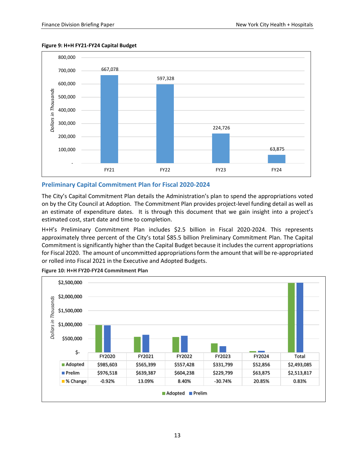



#### <span id="page-14-0"></span>**Preliminary Capital Commitment Plan for Fiscal 2020-2024**

The City's Capital Commitment Plan details the Administration's plan to spend the appropriations voted on by the City Council at Adoption. The Commitment Plan provides project-level funding detail as well as an estimate of expenditure dates. It is through this document that we gain insight into a project's estimated cost, start date and time to completion.

H+H's Preliminary Commitment Plan includes \$2.5 billion in Fiscal 2020-2024. This represents approximately three percent of the City's total \$85.5 billion Preliminary Commitment Plan. The Capital Commitment is significantly higher than the Capital Budget because it includes the current appropriations for Fiscal 2020. The amount of uncommitted appropriations form the amount that will be re-appropriated or rolled into Fiscal 2021 in the Executive and Adopted Budgets.



**Figure 10: H+H FY20-FY24 Commitment Plan**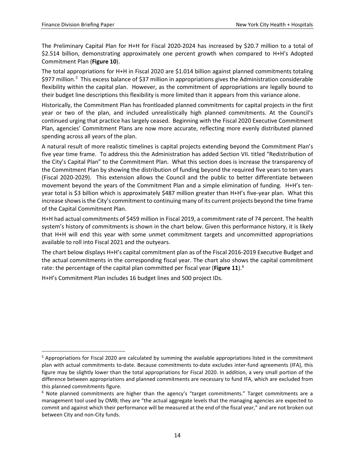The Preliminary Capital Plan for H+H for Fiscal 2020-2024 has increased by \$20.7 million to a total of \$2.514 billion, demonstrating approximately one percent growth when compared to H+H's Adopted Commitment Plan (**Figure 10**).

The total appropriations for H+H in Fiscal 2020 are \$1.014 billion against planned commitments totaling \$977 million.<sup>[5](#page-15-0)</sup> This excess balance of \$37 million in appropriations gives the Administration considerable flexibility within the capital plan. However, as the commitment of appropriations are legally bound to their budget line descriptions this flexibility is more limited than it appears from this variance alone.

Historically, the Commitment Plan has frontloaded planned commitments for capital projects in the first year or two of the plan, and included unrealistically high planned commitments. At the Council's continued urging that practice has largely ceased. Beginning with the Fiscal 2020 Executive Commitment Plan, agencies' Commitment Plans are now more accurate, reflecting more evenly distributed planned spending across all years of the plan.

A natural result of more realistic timelines is capital projects extending beyond the Commitment Plan's five year time frame. To address this the Administration has added Section VII. titled "Redistribution of the City's Capital Plan" to the Commitment Plan. What this section does is increase the transparency of the Commitment Plan by showing the distribution of funding beyond the required five years to ten years (Fiscal 2020-2029). This extension allows the Council and the public to better differentiate between movement beyond the years of the Commitment Plan and a simple elimination of funding. H+H's tenyear total is \$3 billion which is approximately \$487 million greater than H+H's five-year plan. What this increase shows is the City's commitment to continuing many of its current projects beyond the time frame of the Capital Commitment Plan.

H+H had actual commitments of \$459 million in Fiscal 2019, a commitment rate of 74 percent. The health system's history of commitments is shown in the chart below. Given this performance history, it is likely that H+H will end this year with some unmet commitment targets and uncommitted appropriations available to roll into Fiscal 2021 and the outyears.

The chart below displays H+H's capital commitment plan as of the Fiscal 2016-2019 Executive Budget and the actual commitments in the corresponding fiscal year. The chart also shows the capital commitment rate: the percentage of the capital plan committed per fiscal year (**Figure 11**). [6](#page-15-1)

H+H's Commitment Plan includes 16 budget lines and 500 project IDs.

<span id="page-15-0"></span> <sup>5</sup> Appropriations for Fiscal 2020 are calculated by summing the available appropriations listed in the commitment plan with actual commitments to-date. Because commitments to-date excludes inter-fund agreements (IFA), this figure may be slightly lower than the total appropriations for Fiscal 2020. In addition, a very small portion of the difference between appropriations and planned commitments are necessary to fund IFA, which are excluded from this planned commitments figure.

<span id="page-15-1"></span> $6$  Note planned commitments are higher than the agency's "target commitments." Target commitments are a management tool used by OMB; they are "the actual aggregate levels that the managing agencies are expected to commit and against which their performance will be measured at the end of the fiscal year," and are not broken out between City and non-City funds.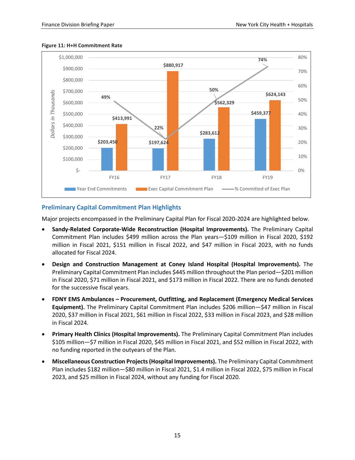

#### **Figure 11: H+H Commitment Rate**

### <span id="page-16-0"></span>**Preliminary Capital Commitment Plan Highlights**

Major projects encompassed in the Preliminary Capital Plan for Fiscal 2020-2024 are highlighted below.

- **Sandy-Related Corporate-Wide Reconstruction (Hospital Improvements).** The Preliminary Capital Commitment Plan includes \$499 million across the Plan years—\$109 million in Fiscal 2020, \$192 million in Fiscal 2021, \$151 million in Fiscal 2022, and \$47 million in Fiscal 2023, with no funds allocated for Fiscal 2024.
- **Design and Construction Management at Coney Island Hospital (Hospital Improvements).** The Preliminary Capital Commitment Plan includes \$445 million throughout the Plan period—\$201 million in Fiscal 2020, \$71 million in Fiscal 2021, and \$173 million in Fiscal 2022. There are no funds denoted for the successive fiscal years.
- **FDNY EMS Ambulances – Procurement, Outfitting, and Replacement (Emergency Medical Services Equipment).** The Preliminary Capital Commitment Plan includes \$206 million—\$47 million in Fiscal 2020, \$37 million in Fiscal 2021, \$61 million in Fiscal 2022, \$33 million in Fiscal 2023, and \$28 million in Fiscal 2024.
- **Primary Health Clinics (Hospital Improvements).** The Preliminary Capital Commitment Plan includes \$105 million—\$7 million in Fiscal 2020, \$45 million in Fiscal 2021, and \$52 million in Fiscal 2022, with no funding reported in the outyears of the Plan.
- **Miscellaneous Construction Projects (Hospital Improvements).** The Preliminary Capital Commitment Plan includes \$182 million—\$80 million in Fiscal 2021, \$1.4 million in Fiscal 2022, \$75 million in Fiscal 2023, and \$25 million in Fiscal 2024, without any funding for Fiscal 2020.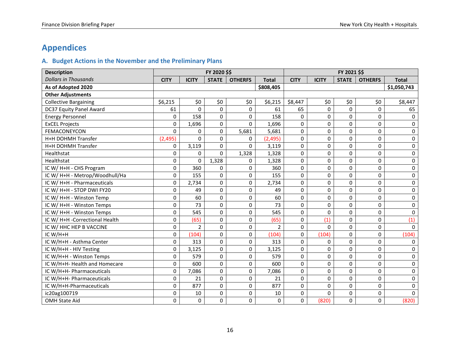# **Appendices**

# **A. Budget Actions in the November and the Preliminary Plans**

<span id="page-17-1"></span><span id="page-17-0"></span>

| <b>Description</b>             | FY 2020 \$\$ |                |              |                |                | FY 2021 \$\$ |              |              |                |              |
|--------------------------------|--------------|----------------|--------------|----------------|----------------|--------------|--------------|--------------|----------------|--------------|
| <b>Dollars in Thousands</b>    | <b>CITY</b>  | <b>ICITY</b>   | <b>STATE</b> | <b>OTHERFS</b> | <b>Total</b>   | <b>CITY</b>  | <b>ICITY</b> | <b>STATE</b> | <b>OTHERFS</b> | <b>Total</b> |
| As of Adopted 2020             |              |                |              |                | \$808,405      |              |              |              |                | \$1,050,743  |
| <b>Other Adjustments</b>       |              |                |              |                |                |              |              |              |                |              |
| <b>Collective Bargaining</b>   | \$6,215      | \$0            | \$0          | \$0            | \$6,215        | \$8,447      | \$0          | \$0          | \$0            | \$8,447      |
| DC37 Equity Panel Award        | 61           | $\mathbf{0}$   | $\Omega$     | 0              | 61             | 65           | 0            | 0            | 0              | 65           |
| <b>Energy Personnel</b>        | 0            | 158            | $\Omega$     | $\Omega$       | 158            | $\mathbf{0}$ | 0            | $\mathbf 0$  | 0              | 0            |
| <b>ExCEL Projects</b>          | 0            | 1,696          | 0            | 0              | 1,696          | 0            | 0            | $\mathbf 0$  | $\mathbf 0$    | 0            |
| FEMACONEYCON                   | $\mathbf 0$  | $\Omega$       | $\mathbf 0$  | 5,681          | 5,681          | 0            | 0            | $\mathbf 0$  | 0              | $\Omega$     |
| H+H DOHMH Transfer             | (2, 495)     | $\Omega$       | 0            | 0              | (2, 495)       | 0            | 0            | $\mathbf 0$  | 0              | 0            |
| H+H DOHMH Transfer             | 0            | 3,119          | $\Omega$     | $\Omega$       | 3,119          | 0            | 0            | $\mathbf 0$  | 0              | 0            |
| Healthstat                     | 0            | $\Omega$       | $\Omega$     | 1,328          | 1,328          | $\Omega$     | 0            | $\Omega$     | $\Omega$       | 0            |
| Healthstat                     | 0            | $\Omega$       | 1,328        | 0              | 1,328          | 0            | 0            | 0            | 0              | 0            |
| IC W/ H+H - CHS Program        | 0            | 360            | 0            | $\Omega$       | 360            | 0            | 0            | $\Omega$     | 0              | 0            |
| IC W/ H+H - Metrop/Woodhull/Ha | 0            | 155            | 0            | 0              | 155            | 0            | 0            | 0            | 0              | 0            |
| IC W/ H+H - Pharmaceuticals    | $\pmb{0}$    | 2,734          | 0            | 0              | 2,734          | 0            | 0            | $\mathbf 0$  | 0              | 0            |
| IC W/ H+H - STOP DWI FY20      | 0            | 49             | $\Omega$     | 0              | 49             | 0            | 0            | $\mathbf 0$  | $\mathbf 0$    | 0            |
| IC W/ H+H - Winston Temp       | 0            | 60             | $\Omega$     | 0              | 60             | $\Omega$     | 0            | 0            | 0              | 0            |
| IC W/ H+H - Winston Temps      | 0            | 73             | 0            | 0              | 73             | 0            | 0            | $\mathbf 0$  | 0              | 0            |
| IC W/ H+H - Winston Temps      | 0            | 545            | 0            | 0              | 545            | 0            | 0            | 0            | 0              | 0            |
| IC W/ H+H -Correctional Health | 0            | (65)           | 0            | 0              | (65)           | 0            | (1)          | $\mathbf 0$  | 0              | (1)          |
| IC W/ HHC HEP B VACCINE        | 0            | $\overline{2}$ | $\Omega$     | 0              | $\overline{2}$ | 0            | 0            | $\mathbf 0$  | 0              | $\Omega$     |
| IC W/H+H                       | 0            | (104)          | 0            | 0              | (104)          | 0            | (104)        | 0            | 0              | (104)        |
| IC W/H+H - Asthma Center       | $\pmb{0}$    | 313            | 0            | 0              | 313            | 0            | 0            | 0            | 0              | 0            |
| IC W/H+H - HIV Testing         | $\pmb{0}$    | 3,125          | $\Omega$     | 0              | 3,125          | 0            | 0            | $\mathbf 0$  | 0              | 0            |
| IC W/H+H - Winston Temps       | 0            | 579            | $\Omega$     | $\Omega$       | 579            | $\Omega$     | 0            | $\Omega$     | $\Omega$       | $\Omega$     |
| IC W/H+H- Health and Homecare  | 0            | 600            | 0            | 0              | 600            | 0            | 0            | 0            | 0              | 0            |
| IC W/H+H- Pharmaceuticals      | $\pmb{0}$    | 7,086          | $\Omega$     | 0              | 7,086          | 0            | 0            | $\mathbf 0$  | 0              | 0            |
| IC W/H+H- Pharmaceuticals      | 0            | 21             | $\Omega$     | $\Omega$       | 21             | 0            | 0            | $\Omega$     | $\Omega$       | $\Omega$     |
| IC W/H+H-Pharmaceuticals       | 0            | 877            | $\Omega$     | 0              | 877            | 0            | 0            | $\mathbf 0$  | 0              | 0            |
| ic20ag100719                   | 0            | 10             | 0            | 0              | 10             | 0            | 0            | 0            | 0              | 0            |
| <b>OMH State Aid</b>           | 0            | $\mathbf 0$    | $\Omega$     | 0              | 0              | 0            | (820)        | $\mathbf 0$  | 0              | (820)        |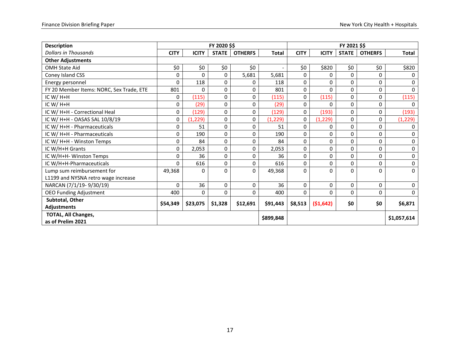| <b>Description</b>                       |             |              | FY 2020 \$\$ |                |              | FY 2021 \$\$ |              |              |                |              |
|------------------------------------------|-------------|--------------|--------------|----------------|--------------|--------------|--------------|--------------|----------------|--------------|
| <b>Dollars in Thousands</b>              | <b>CITY</b> | <b>ICITY</b> | <b>STATE</b> | <b>OTHERFS</b> | <b>Total</b> | <b>CITY</b>  | <b>ICITY</b> | <b>STATE</b> | <b>OTHERFS</b> | <b>Total</b> |
| <b>Other Adjustments</b>                 |             |              |              |                |              |              |              |              |                |              |
| <b>OMH State Aid</b>                     | \$0         | \$0          | \$0          | \$0            |              | \$0\$        | \$820        | \$0          | \$0            | \$820        |
| Coney Island CSS                         | 0           | 0            | 0            | 5,681          | 5,681        | 0            | 0            | 0            | 0              | 0            |
| Energy personnel                         | 0           | 118          | 0            | 0              | 118          | 0            | 0            | 0            | 0              | $\mathbf{0}$ |
| FY 20 Member Items: NORC, Sex Trade, ETE | 801         | 0            | 0            | 0              | 801          | 0            | $\Omega$     | 0            | 0              | 0            |
| IC W/ $H+H$                              | 0           | (115)        | 0            | 0              | (115)        | 0            | (115)        | 0            | 0              | (115)        |
| IC W/H+H                                 | 0           | (29)         | 0            | 0              | (29)         | 0            | 0            | $\Omega$     | $\Omega$       | $\mathbf{0}$ |
| IC W/ H+H - Correctional Heal            | 0           | (129)        | 0            | 0              | (129)        | 0            | (193)        | $\Omega$     | 0              | (193)        |
| IC W/ H+H - OASAS SAL 10/8/19            | 0           | (1, 229)     | 0            | 0              | (1, 229)     | 0            | (1, 229)     | $\Omega$     | 0              | (1, 229)     |
| IC W/ H+H - Pharmaceuticals              | 0           | 51           | 0            | 0              | 51           | 0            | 0            | 0            | 0              | $\mathbf{0}$ |
| IC W/ H+H - Pharmaceuticals              | 0           | 190          | 0            | 0              | 190          | 0            | 0            | $\Omega$     | 0              | $\mathbf 0$  |
| IC W/ H+H - Winston Temps                | 0           | 84           | 0            | 0              | 84           | 0            | $\Omega$     | $\Omega$     | $\Omega$       | $\mathbf 0$  |
| IC W/H+H Grants                          | 0           | 2,053        | 0            | 0              | 2,053        | 0            | $\Omega$     | $\Omega$     | 0              | 0            |
| IC W/H+H- Winston Temps                  | 0           | 36           | 0            | 0              | 36           | 0            | 0            | $\Omega$     | 0              | $\mathbf 0$  |
| IC W/H+H-Pharmaceuticals                 | 0           | 616          | 0            | 0              | 616          | 0            | 0            | 0            | 0              | $\mathbf 0$  |
| Lump sum reimbursement for               | 49,368      | 0            | 0            | $\Omega$       | 49,368       | $\Omega$     | $\Omega$     | 0            | 0              | $\Omega$     |
| L1199 and NYSNA retro wage increase      |             |              |              |                |              |              |              |              |                |              |
| NARCAN (7/1/19-9/30/19)                  | $\Omega$    | 36           | 0            | 0              | 36           | 0            | 0            | 0            | $\Omega$       | $\mathbf 0$  |
| <b>OEO Funding Adjustment</b>            | 400         | 0            | 0            | 0              | 400          | $\Omega$     | $\Omega$     | $\Omega$     | 0              | $\mathbf 0$  |
| Subtotal, Other                          | \$54,349    | \$23,075     | \$1,328      | \$12,691       | \$91,443     | \$8,513      | (51, 642)    | \$0          | \$0            | \$6,871      |
| <b>Adjustments</b>                       |             |              |              |                |              |              |              |              |                |              |
| <b>TOTAL, All Changes,</b>               |             |              |              |                | \$899,848    |              |              |              |                | \$1,057,614  |
| as of Prelim 2021                        |             |              |              |                |              |              |              |              |                |              |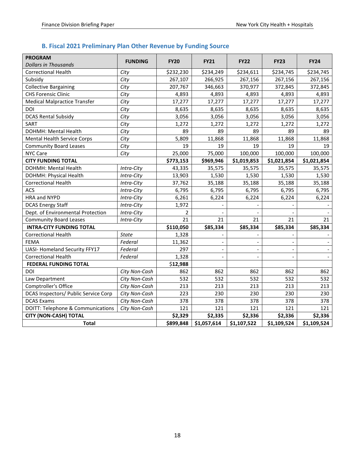# <span id="page-19-0"></span>**B. Fiscal 2021 Preliminary Plan Other Revenue by Funding Source**

| <b>PROGRAM</b><br><b>Dollars in Thousands</b> | <b>FUNDING</b> | <b>FY20</b>    | <b>FY21</b>              | <b>FY22</b> | <b>FY23</b> | <b>FY24</b> |
|-----------------------------------------------|----------------|----------------|--------------------------|-------------|-------------|-------------|
| <b>Correctional Health</b>                    | City           | \$232,230      | \$234,249                | \$234,611   | \$234,745   | \$234,745   |
| Subsidy                                       | City           | 267,107        | 266,925                  | 267,156     | 267,156     | 267,156     |
| <b>Collective Bargaining</b>                  | City           | 207,767        | 346,663                  | 370,977     | 372,845     | 372,845     |
| <b>CHS Forensic Clinic</b>                    | City           | 4,893          | 4,893                    | 4,893       | 4,893       | 4,893       |
| <b>Medical Malpractice Transfer</b>           | City           | 17,277         | 17,277                   | 17,277      | 17,277      | 17,277      |
| DOI                                           | City           | 8,635          | 8,635                    | 8,635       | 8,635       | 8,635       |
| <b>DCAS Rental Subsidy</b>                    | City           | 3,056          | 3,056                    | 3,056       | 3,056       | 3,056       |
| <b>SART</b>                                   | City           | 1,272          | 1,272                    | 1,272       | 1,272       | 1,272       |
| DOHMH: Mental Health                          | City           | 89             | 89                       | 89          | 89          | 89          |
| Mental Health Service Corps                   | City           | 5,809          | 11,868                   | 11,868      | 11,868      | 11,868      |
| <b>Community Board Leases</b>                 | City           | 19             | 19                       | 19          | 19          | 19          |
| <b>NYC Care</b>                               | City           | 25,000         | 75,000                   | 100,000     | 100,000     | 100,000     |
| <b>CITY FUNDING TOTAL</b>                     |                | \$773,153      | \$969,946                | \$1,019,853 | \$1,021,854 | \$1,021,854 |
| DOHMH: Mental Health                          | Intra-City     | 43,335         | 35,575                   | 35,575      | 35,575      | 35,575      |
| DOHMH: Physical Health                        | Intra-City     | 13,903         | 1,530                    | 1,530       | 1,530       | 1,530       |
| <b>Correctional Health</b>                    | Intra-City     | 37,762         | 35,188                   | 35,188      | 35,188      | 35,188      |
| ACS                                           | Intra-City     | 6,795          | 6,795                    | 6,795       | 6,795       | 6,795       |
| HRA and NYPD                                  | Intra-City     | 6,261          | 6,224                    | 6,224       | 6,224       | 6,224       |
| <b>DCAS Energy Staff</b>                      | Intra-City     | 1,972          |                          |             |             |             |
| Dept. of Environmental Protection             | Intra-City     | $\overline{2}$ |                          |             |             |             |
| <b>Community Board Leases</b>                 | Intra-City     | 21             | 21                       | 21          | 21          | 21          |
| <b>INTRA-CITY FUNDING TOTAL</b>               |                | \$110,050      | \$85,334                 | \$85,334    | \$85,334    | \$85,334    |
| <b>Correctional Health</b>                    | <b>State</b>   | 1,328          |                          |             |             |             |
| <b>FEMA</b>                                   | Federal        | 11,362         |                          |             |             |             |
| <b>UASI- Homeland Security FFY17</b>          | Federal        | 297            | $\overline{\phantom{a}}$ |             |             |             |
| <b>Correctional Health</b>                    | Federal        | 1,328          |                          |             |             |             |
| <b>FEDERAL FUNDING TOTAL</b>                  |                | \$12,988       |                          |             |             |             |
| DOI                                           | City Non-Cash  | 862            | 862                      | 862         | 862         | 862         |
| Law Department                                | City Non-Cash  | 532            | 532                      | 532         | 532         | 532         |
| Comptroller's Office                          | City Non-Cash  | 213            | 213                      | 213         | 213         | 213         |
| DCAS Inspectors/ Public Service Corp          | City Non-Cash  | 223            | 230                      | 230         | 230         | 230         |
| <b>DCAS Exams</b>                             | City Non-Cash  | 378            | 378                      | 378         | 378         | 378         |
| DOITT: Telephone & Communications             | City Non-Cash  | 121            | 121                      | 121         | 121         | 121         |
| <b>CITY (NON-CASH) TOTAL</b>                  |                | \$2,329        | \$2,335                  | \$2,336     | \$2,336     | \$2,336     |
| <b>Total</b>                                  |                | \$899,848      | \$1,057,614              | \$1,107,522 | \$1,109,524 | \$1,109,524 |